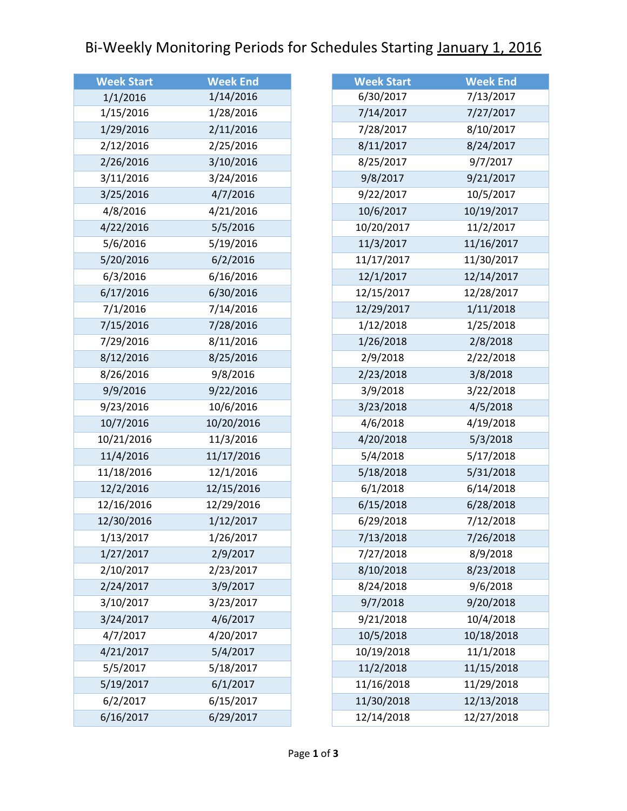## Bi-Weekly Monitoring Periods for Schedules Starting January 1, 2016

| <b>Week Start</b> | <b>Week End</b> |
|-------------------|-----------------|
| 1/1/2016          | 1/14/2016       |
| 1/15/2016         | 1/28/2016       |
| 1/29/2016         | 2/11/2016       |
| 2/12/2016         | 2/25/2016       |
| 2/26/2016         | 3/10/2016       |
| 3/11/2016         | 3/24/2016       |
| 3/25/2016         | 4/7/2016        |
| 4/8/2016          | 4/21/2016       |
| 4/22/2016         | 5/5/2016        |
| 5/6/2016          | 5/19/2016       |
| 5/20/2016         | 6/2/2016        |
| 6/3/2016          | 6/16/2016       |
| 6/17/2016         | 6/30/2016       |
| 7/1/2016          | 7/14/2016       |
| 7/15/2016         | 7/28/2016       |
| 7/29/2016         | 8/11/2016       |
| 8/12/2016         | 8/25/2016       |
| 8/26/2016         | 9/8/2016        |
| 9/9/2016          | 9/22/2016       |
| 9/23/2016         | 10/6/2016       |
| 10/7/2016         | 10/20/2016      |
| 10/21/2016        | 11/3/2016       |
| 11/4/2016         | 11/17/2016      |
| 11/18/2016        | 12/1/2016       |
| 12/2/2016         | 12/15/2016      |
| 12/16/2016        | 12/29/2016      |
| 12/30/2016        | 1/12/2017       |
| 1/13/2017         | 1/26/2017       |
| 1/27/2017         | 2/9/2017        |
| 2/10/2017         | 2/23/2017       |
| 2/24/2017         | 3/9/2017        |
| 3/10/2017         | 3/23/2017       |
| 3/24/2017         | 4/6/2017        |
| 4/7/2017          | 4/20/2017       |
| 4/21/2017         | 5/4/2017        |
| 5/5/2017          | 5/18/2017       |
| 5/19/2017         | 6/1/2017        |
| 6/2/2017          | 6/15/2017       |
| 6/16/2017         | 6/29/2017       |

| <b>Week End</b> |
|-----------------|
| 7/13/2017       |
| 7/27/2017       |
| 8/10/2017       |
| 8/24/2017       |
| 9/7/2017        |
| 9/21/2017       |
| 10/5/2017       |
| 10/19/2017      |
| 11/2/2017       |
| 11/16/2017      |
| 11/30/2017      |
| 12/14/2017      |
| 12/28/2017      |
| 1/11/2018       |
| 1/25/2018       |
| 2/8/2018        |
| 2/22/2018       |
| 3/8/2018        |
| 3/22/2018       |
| 4/5/2018        |
| 4/19/2018       |
| 5/3/2018        |
| 5/17/2018       |
| 5/31/2018       |
| 6/14/2018       |
| 6/28/2018       |
| 7/12/2018       |
| 7/26/2018       |
| 8/9/2018        |
| 8/23/2018       |
| 9/6/2018        |
| 9/20/2018       |
| 10/4/2018       |
| 10/18/2018      |
| 11/1/2018       |
| 11/15/2018      |
| 11/29/2018      |
| 12/13/2018      |
| 12/27/2018      |
|                 |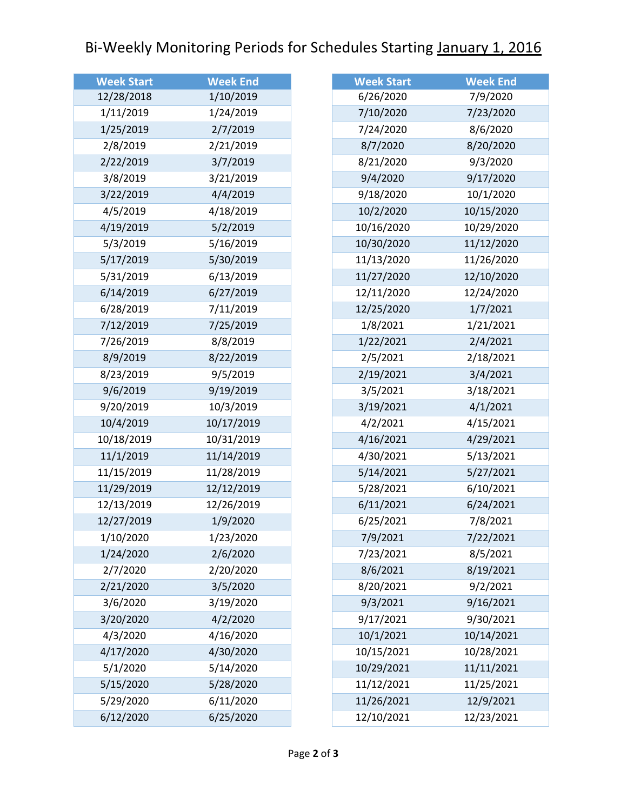## Bi-Weekly Monitoring Periods for Schedules Starting January 1, 2016

| <b>Week Start</b> | <b>Week End</b> |
|-------------------|-----------------|
| 12/28/2018        | 1/10/2019       |
| 1/11/2019         | 1/24/2019       |
| 1/25/2019         | 2/7/2019        |
| 2/8/2019          | 2/21/2019       |
| 2/22/2019         | 3/7/2019        |
| 3/8/2019          | 3/21/2019       |
| 3/22/2019         | 4/4/2019        |
| 4/5/2019          | 4/18/2019       |
| 4/19/2019         | 5/2/2019        |
| 5/3/2019          | 5/16/2019       |
| 5/17/2019         | 5/30/2019       |
| 5/31/2019         | 6/13/2019       |
| 6/14/2019         | 6/27/2019       |
| 6/28/2019         | 7/11/2019       |
| 7/12/2019         | 7/25/2019       |
| 7/26/2019         | 8/8/2019        |
| 8/9/2019          | 8/22/2019       |
| 8/23/2019         | 9/5/2019        |
| 9/6/2019          | 9/19/2019       |
| 9/20/2019         | 10/3/2019       |
| 10/4/2019         | 10/17/2019      |
| 10/18/2019        | 10/31/2019      |
| 11/1/2019         | 11/14/2019      |
| 11/15/2019        | 11/28/2019      |
| 11/29/2019        | 12/12/2019      |
| 12/13/2019        | 12/26/2019      |
| 12/27/2019        | 1/9/2020        |
| 1/10/2020         | 1/23/2020       |
| 1/24/2020         | 2/6/2020        |
| 2/7/2020          | 2/20/2020       |
| 2/21/2020         | 3/5/2020        |
| 3/6/2020          | 3/19/2020       |
| 3/20/2020         | 4/2/2020        |
| 4/3/2020          | 4/16/2020       |
| 4/17/2020         | 4/30/2020       |
| 5/1/2020          | 5/14/2020       |
| 5/15/2020         | 5/28/2020       |
| 5/29/2020         | 6/11/2020       |
| 6/12/2020         | 6/25/2020       |

| <b>Week Start</b> | <b>Week End</b> |
|-------------------|-----------------|
| 6/26/2020         | 7/9/2020        |
| 7/10/2020         | 7/23/2020       |
| 7/24/2020         | 8/6/2020        |
| 8/7/2020          | 8/20/2020       |
| 8/21/2020         | 9/3/2020        |
| 9/4/2020          | 9/17/2020       |
| 9/18/2020         | 10/1/2020       |
| 10/2/2020         | 10/15/2020      |
| 10/16/2020        | 10/29/2020      |
| 10/30/2020        | 11/12/2020      |
| 11/13/2020        | 11/26/2020      |
| 11/27/2020        | 12/10/2020      |
| 12/11/2020        | 12/24/2020      |
| 12/25/2020        | 1/7/2021        |
| 1/8/2021          | 1/21/2021       |
| 1/22/2021         | 2/4/2021        |
| 2/5/2021          | 2/18/2021       |
| 2/19/2021         | 3/4/2021        |
| 3/5/2021          | 3/18/2021       |
| 3/19/2021         | 4/1/2021        |
| 4/2/2021          | 4/15/2021       |
| 4/16/2021         | 4/29/2021       |
| 4/30/2021         | 5/13/2021       |
| 5/14/2021         | 5/27/2021       |
| 5/28/2021         | 6/10/2021       |
| 6/11/2021         | 6/24/2021       |
| 6/25/2021         | 7/8/2021        |
| 7/9/2021          | 7/22/2021       |
| 7/23/2021         | 8/5/2021        |
| 8/6/2021          | 8/19/2021       |
| 8/20/2021         | 9/2/2021        |
| 9/3/2021          | 9/16/2021       |
| 9/17/2021         | 9/30/2021       |
| 10/1/2021         | 10/14/2021      |
| 10/15/2021        | 10/28/2021      |
| 10/29/2021        | 11/11/2021      |
| 11/12/2021        | 11/25/2021      |
| 11/26/2021        | 12/9/2021       |
| 12/10/2021        | 12/23/2021      |